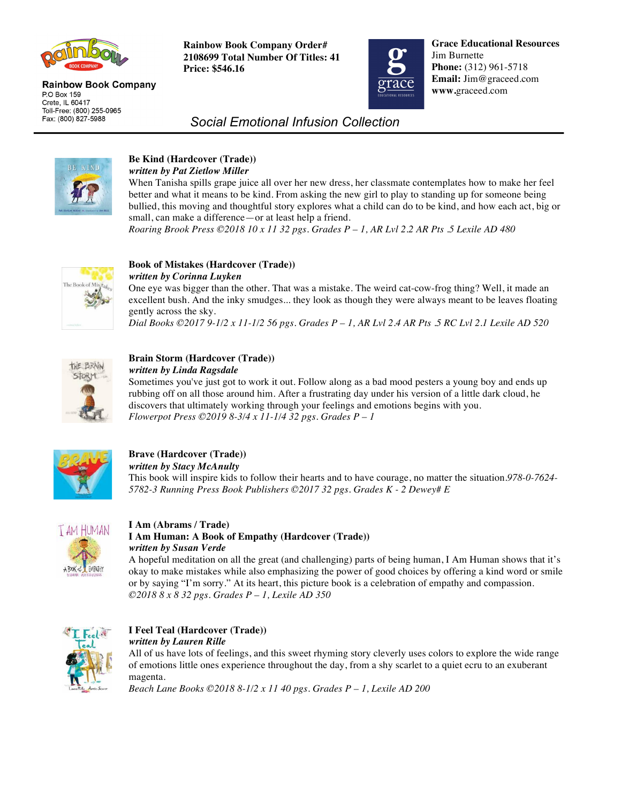

#### **Rainbow Book Company** P.O Box 159 Crete, IL 60417 Toll-Free: (800) 255-0965 Fax: (800) 827-5988

**Rainbow Book Company Order# 2108699 Total Number Of Titles: 41 Price: \$546.16**



**Grace Educational Resources** Jim Burnette **Phone:** (312) 961-5718 **Email:** Jim@graceed.com **www.**graceed.com

# *Social Emotional Infusion Collection*



#### **Be Kind (Hardcover (Trade))**  *written by Pat Zietlow Miller*

When Tanisha spills grape juice all over her new dress, her classmate contemplates how to make her feel better and what it means to be kind. From asking the new girl to play to standing up for someone being bullied, this moving and thoughtful story explores what a child can do to be kind, and how each act, big or small, can make a difference—or at least help a friend.

*Roaring Brook Press ©2018 10 x 11 32 pgs. Grades P – 1, AR Lvl 2.2 AR Pts .5 Lexile AD 480* 



# **Book of Mistakes (Hardcover (Trade))**

*written by Corinna Luyken* 

One eye was bigger than the other. That was a mistake. The weird cat-cow-frog thing? Well, it made an excellent bush. And the inky smudges... they look as though they were always meant to be leaves floating gently across the sky.

*Dial Books ©2017 9-1/2 x 11-1/2 56 pgs. Grades P – 1, AR Lvl 2.4 AR Pts .5 RC Lvl 2.1 Lexile AD 520* 



## **Brain Storm (Hardcover (Trade))**

*written by Linda Ragsdale* 

Sometimes you've just got to work it out. Follow along as a bad mood pesters a young boy and ends up rubbing off on all those around him. After a frustrating day under his version of a little dark cloud, he discovers that ultimately working through your feelings and emotions begins with you. *Flowerpot Press ©2019 8-3/4 x 11-1/4 32 pgs. Grades P – 1*



## **Brave (Hardcover (Trade))**  *written by Stacy McAnulty*

This book will inspire kids to follow their hearts and to have courage, no matter the situation.*978-0-7624- 5782-3 Running Press Book Publishers ©2017 32 pgs. Grades K - 2 Dewey# E* 



## **I Am (Abrams / Trade)**

## **I Am Human: A Book of Empathy (Hardcover (Trade))** *written by Susan Verde*

A hopeful meditation on all the great (and challenging) parts of being human, I Am Human shows that it's okay to make mistakes while also emphasizing the power of good choices by offering a kind word or smile or by saying "I'm sorry." At its heart, this picture book is a celebration of empathy and compassion. *©2018 8 x 8 32 pgs. Grades P – 1, Lexile AD 350* 



## **I Feel Teal (Hardcover (Trade))**  *written by Lauren Rille*

All of us have lots of feelings, and this sweet rhyming story cleverly uses colors to explore the wide range of emotions little ones experience throughout the day, from a shy scarlet to a quiet ecru to an exuberant magenta.

*Beach Lane Books ©2018 8-1/2 x 11 40 pgs. Grades P – 1, Lexile AD 200*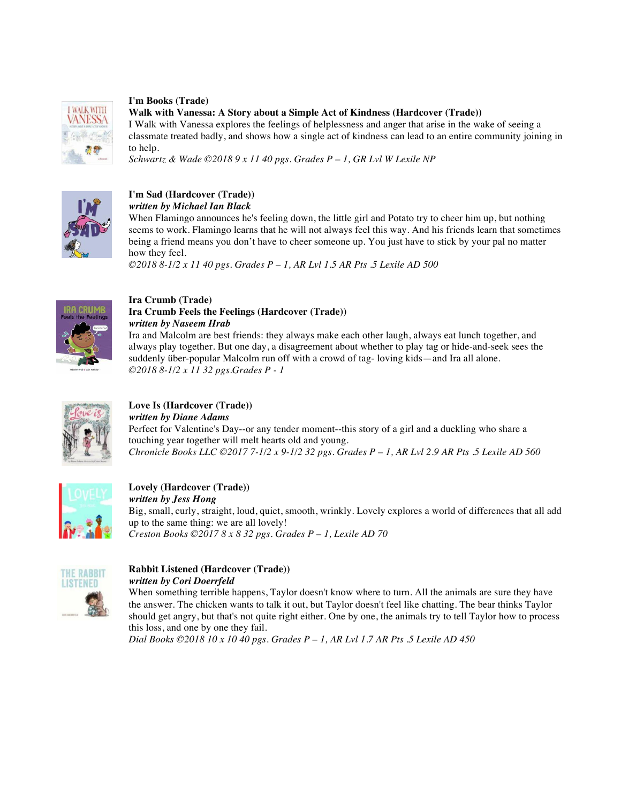

## **I'm Books (Trade)**

**Walk with Vanessa: A Story about a Simple Act of Kindness (Hardcover (Trade))** 

I Walk with Vanessa explores the feelings of helplessness and anger that arise in the wake of seeing a classmate treated badly, and shows how a single act of kindness can lead to an entire community joining in to help.

*Schwartz & Wade ©2018 9 x 11 40 pgs. Grades P – 1, GR Lvl W Lexile NP* 



#### **I'm Sad (Hardcover (Trade))**  *written by Michael Ian Black*

When Flamingo announces he's feeling down, the little girl and Potato try to cheer him up, but nothing seems to work. Flamingo learns that he will not always feel this way. And his friends learn that sometimes being a friend means you don't have to cheer someone up. You just have to stick by your pal no matter how they feel.

*©2018 8-1/2 x 11 40 pgs. Grades P – 1, AR Lvl 1.5 AR Pts .5 Lexile AD 500* 



#### **Ira Crumb (Trade) Ira Crumb Feels the Feelings (Hardcover (Trade))**  *written by Naseem Hrab*

Ira and Malcolm are best friends: they always make each other laugh, always eat lunch together, and always play together. But one day, a disagreement about whether to play tag or hide-and-seek sees the suddenly über-popular Malcolm run off with a crowd of tag- loving kids—and Ira all alone. *©2018 8-1/2 x 11 32 pgs.Grades P - 1*



## **Love Is (Hardcover (Trade))**  *written by Diane Adams*  Perfect for Valentine's Day--or any tender moment--this story of a girl and a duckling who share a touching year together will melt hearts old and young. *Chronicle Books LLC ©2017 7-1/2 x 9-1/2 32 pgs. Grades P – 1, AR Lvl 2.9 AR Pts .5 Lexile AD 560*



#### **Lovely (Hardcover (Trade))**  *written by Jess Hong*  Big, small, curly, straight, loud, quiet, smooth, wrinkly. Lovely explores a world of differences that all add up to the same thing: we are all lovely! *Creston Books ©2017 8 x 8 32 pgs. Grades P – 1, Lexile AD 70*



## **Rabbit Listened (Hardcover (Trade))**  *written by Cori Doerrfeld*

When something terrible happens, Taylor doesn't know where to turn. All the animals are sure they have the answer. The chicken wants to talk it out, but Taylor doesn't feel like chatting. The bear thinks Taylor should get angry, but that's not quite right either. One by one, the animals try to tell Taylor how to process this loss, and one by one they fail.

*Dial Books ©2018 10 x 10 40 pgs. Grades P – 1, AR Lvl 1.7 AR Pts .5 Lexile AD 450*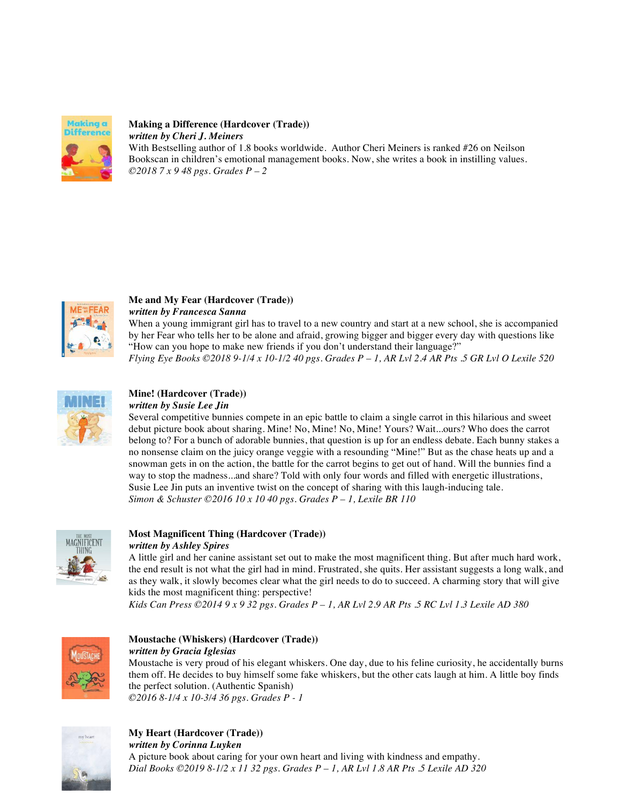

## **Making a Difference (Hardcover (Trade))**  *written by Cheri J. Meiners*

With Bestselling author of 1.8 books worldwide. Author Cheri Meiners is ranked #26 on Neilson Bookscan in children's emotional management books. Now, she writes a book in instilling values. *©2018 7 x 9 48 pgs. Grades P – 2*



## **Me and My Fear (Hardcover (Trade))**  *written by Francesca Sanna*

When a young immigrant girl has to travel to a new country and start at a new school, she is accompanied by her Fear who tells her to be alone and afraid, growing bigger and bigger every day with questions like "How can you hope to make new friends if you don't understand their language?" *Flying Eye Books ©2018 9-1/4 x 10-1/2 40 pgs. Grades P – 1, AR Lvl 2.4 AR Pts .5 GR Lvl O Lexile 520* 



#### **Mine! (Hardcover (Trade))**  *written by Susie Lee Jin*

Several competitive bunnies compete in an epic battle to claim a single carrot in this hilarious and sweet debut picture book about sharing. Mine! No, Mine! No, Mine! Yours? Wait...ours? Who does the carrot belong to? For a bunch of adorable bunnies, that question is up for an endless debate. Each bunny stakes a no nonsense claim on the juicy orange veggie with a resounding "Mine!" But as the chase heats up and a snowman gets in on the action, the battle for the carrot begins to get out of hand. Will the bunnies find a way to stop the madness...and share? Told with only four words and filled with energetic illustrations, Susie Lee Jin puts an inventive twist on the concept of sharing with this laugh-inducing tale. *Simon & Schuster ©2016 10 x 10 40 pgs. Grades P – 1, Lexile BR 110* 



## **Most Magnificent Thing (Hardcover (Trade))**  *written by Ashley Spires*

A little girl and her canine assistant set out to make the most magnificent thing. But after much hard work, the end result is not what the girl had in mind. Frustrated, she quits. Her assistant suggests a long walk, and as they walk, it slowly becomes clear what the girl needs to do to succeed. A charming story that will give kids the most magnificent thing: perspective!

*Kids Can Press ©2014 9 x 9 32 pgs. Grades P – 1, AR Lvl 2.9 AR Pts .5 RC Lvl 1.3 Lexile AD 380* 



#### **Moustache (Whiskers) (Hardcover (Trade))**  *written by Gracia Iglesias*

Moustache is very proud of his elegant whiskers. One day, due to his feline curiosity, he accidentally burns them off. He decides to buy himself some fake whiskers, but the other cats laugh at him. A little boy finds the perfect solution. (Authentic Spanish) *©2016 8-1/4 x 10-3/4 36 pgs. Grades P - 1*



**My Heart (Hardcover (Trade))**  *written by Corinna Luyken*  A picture book about caring for your own heart and living with kindness and empathy. *Dial Books ©2019 8-1/2 x 11 32 pgs. Grades P – 1, AR Lvl 1.8 AR Pts .5 Lexile AD 320*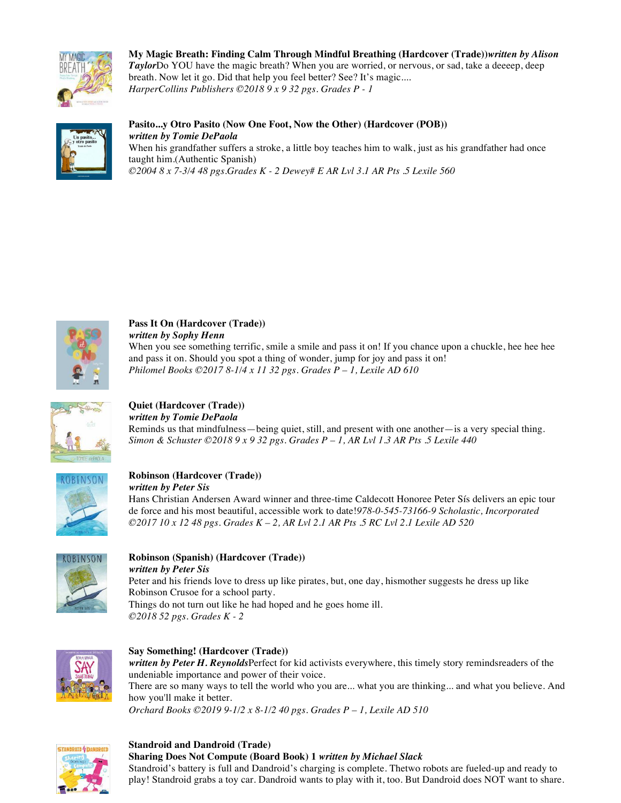

**My Magic Breath: Finding Calm Through Mindful Breathing (Hardcover (Trade))***written by Alison Taylor*Do YOU have the magic breath? When you are worried, or nervous, or sad, take a deeeep, deep breath. Now let it go. Did that help you feel better? See? It's magic.... *HarperCollins Publishers ©2018 9 x 9 32 pgs. Grades P - 1* 



**Pasito...y Otro Pasito (Now One Foot, Now the Other) (Hardcover (POB))** *written by Tomie DePaola* When his grandfather suffers a stroke, a little boy teaches him to walk, just as his grandfather had once taught him.(Authentic Spanish)

*©2004 8 x 7-3/4 48 pgs.Grades K - 2 Dewey# E AR Lvl 3.1 AR Pts .5 Lexile 560* 



# **Pass It On (Hardcover (Trade))**  *written by Sophy Henn*

When you see something terrific, smile a smile and pass it on! If you chance upon a chuckle, hee hee hee and pass it on. Should you spot a thing of wonder, jump for joy and pass it on! *Philomel Books ©2017 8-1/4 x 11 32 pgs. Grades P – 1, Lexile AD 610* 



**Quiet (Hardcover (Trade))**  *written by Tomie DePaola*  Reminds us that mindfulness—being quiet, still, and present with one another—is a very special thing. *Simon & Schuster ©2018 9 x 9 32 pgs. Grades P – 1, AR Lvl 1.3 AR Pts .5 Lexile 440* 



#### **Robinson (Hardcover (Trade))**  *written by Peter Sis*

Hans Christian Andersen Award winner and three-time Caldecott Honoree Peter Sís delivers an epic tour de force and his most beautiful, accessible work to date!*978-0-545-73166-9 Scholastic, Incorporated ©2017 10 x 12 48 pgs. Grades K – 2, AR Lvl 2.1 AR Pts .5 RC Lvl 2.1 Lexile AD 520* 



#### **Robinson (Spanish) (Hardcover (Trade))**  *written by Peter Sis*

Peter and his friends love to dress up like pirates, but, one day, hismother suggests he dress up like Robinson Crusoe for a school party. Things do not turn out like he had hoped and he goes home ill. *©2018 52 pgs. Grades K - 2*



# **Say Something! (Hardcover (Trade))**

*written by Peter H. Reynolds*Perfect for kid activists everywhere, this timely story remindsreaders of the undeniable importance and power of their voice. There are so many ways to tell the world who you are... what you are thinking... and what you believe. And how you'll make it better.

*Orchard Books ©2019 9-1/2 x 8-1/2 40 pgs. Grades P – 1, Lexile AD 510* 



#### **Standroid and Dandroid (Trade)**

**Sharing Does Not Compute (Board Book) 1** *written by Michael Slack*

Standroid's battery is full and Dandroid's charging is complete. Thetwo robots are fueled-up and ready to play! Standroid grabs a toy car. Dandroid wants to play with it, too. But Dandroid does NOT want to share.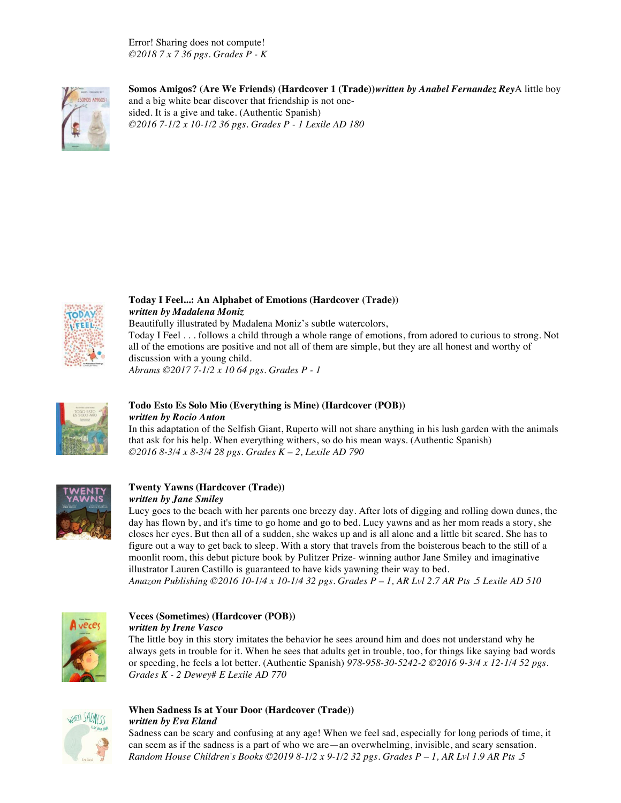Error! Sharing does not compute! *©2018 7 x 7 36 pgs. Grades P - K*



**Somos Amigos? (Are We Friends) (Hardcover 1 (Trade))***written by Anabel Fernandez Rey*A little boy and a big white bear discover that friendship is not onesided. It is a give and take. (Authentic Spanish) *©2016 7-1/2 x 10-1/2 36 pgs. Grades P - 1 Lexile AD 180* 



## **Today I Feel...: An Alphabet of Emotions (Hardcover (Trade))** *written by Madalena Moniz* Beautifully illustrated by Madalena Moniz's subtle watercolors, Today I Feel . . . follows a child through a whole range of emotions, from adored to curious to strong. Not all of the emotions are positive and not all of them are simple, but they are all honest and worthy of discussion with a young child.

*Abrams ©2017 7-1/2 x 10 64 pgs. Grades P - 1*



## **Todo Esto Es Solo Mio (Everything is Mine) (Hardcover (POB))** *written by Rocio Anton*

In this adaptation of the Selfish Giant, Ruperto will not share anything in his lush garden with the animals that ask for his help. When everything withers, so do his mean ways. (Authentic Spanish) *©2016 8-3/4 x 8-3/4 28 pgs. Grades K – 2, Lexile AD 790* 



## **Twenty Yawns (Hardcover (Trade))**

*written by Jane Smiley* 

Lucy goes to the beach with her parents one breezy day. After lots of digging and rolling down dunes, the day has flown by, and it's time to go home and go to bed. Lucy yawns and as her mom reads a story, she closes her eyes. But then all of a sudden, she wakes up and is all alone and a little bit scared. She has to figure out a way to get back to sleep. With a story that travels from the boisterous beach to the still of a moonlit room, this debut picture book by Pulitzer Prize- winning author Jane Smiley and imaginative illustrator Lauren Castillo is guaranteed to have kids yawning their way to bed.

*Amazon Publishing ©2016 10-1/4 x 10-1/4 32 pgs. Grades P – 1, AR Lvl 2.7 AR Pts .5 Lexile AD 510* 



#### **Veces (Sometimes) (Hardcover (POB))**  *written by Irene Vasco*

The little boy in this story imitates the behavior he sees around him and does not understand why he always gets in trouble for it. When he sees that adults get in trouble, too, for things like saying bad words or speeding, he feels a lot better. (Authentic Spanish) *978-958-30-5242-2 ©2016 9-3/4 x 12-1/4 52 pgs. Grades K - 2 Dewey# E Lexile AD 770* 



#### **When Sadness Is at Your Door (Hardcover (Trade))**  *written by Eva Eland*

Sadness can be scary and confusing at any age! When we feel sad, especially for long periods of time, it can seem as if the sadness is a part of who we are—an overwhelming, invisible, and scary sensation. *Random House Children's Books ©2019 8-1/2 x 9-1/2 32 pgs. Grades P – 1, AR Lvl 1.9 AR Pts .5*